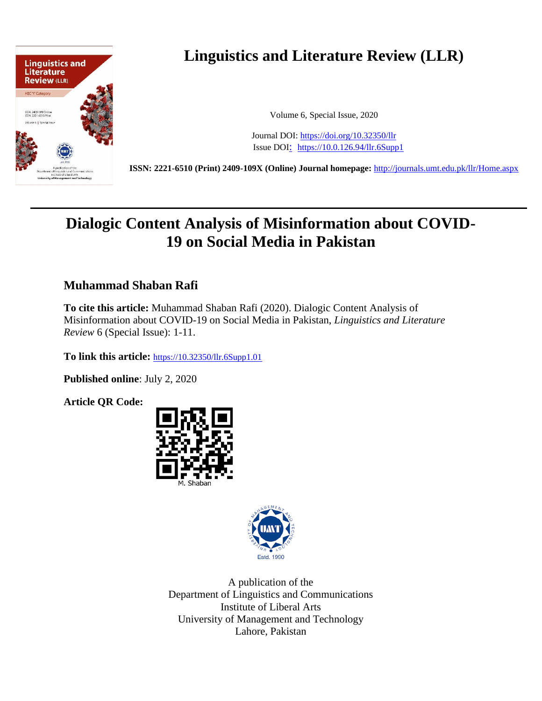

# **Linguistics and Literature Review (LLR)**

Volume 6, Special Issue, 2020

Journal DOI: <https://doi.org/10.32350/llr> Issue DOI: <https://10.0.126.94/llr.6Supp1>

**ISSN: 2221-6510 (Print) 2409-109X (Online) Journal homepage:** <http://journals.umt.edu.pk/llr/Home.aspx>

# **Dialogic Content Analysis of Misinformation about COVID-19 on Social Media in Pakistan**

## **Muhammad Shaban Rafi**

**To cite this article:** Muhammad Shaban Rafi (2020). Dialogic Content Analysis of Misinformation about COVID-19 on Social Media in Pakistan, *Linguistics and Literature Review* 6 (Special Issue): 1-11.

**To link this article:** [https://10.32350/llr.6Supp1.01](https://10.0.126.94/llr.6Supp1.01)

**Published online**: July 2, 2020

**Article QR Code:**





A publication of the Department of Linguistics and Communications Institute of Liberal Arts University of Management and Technology Lahore, Pakistan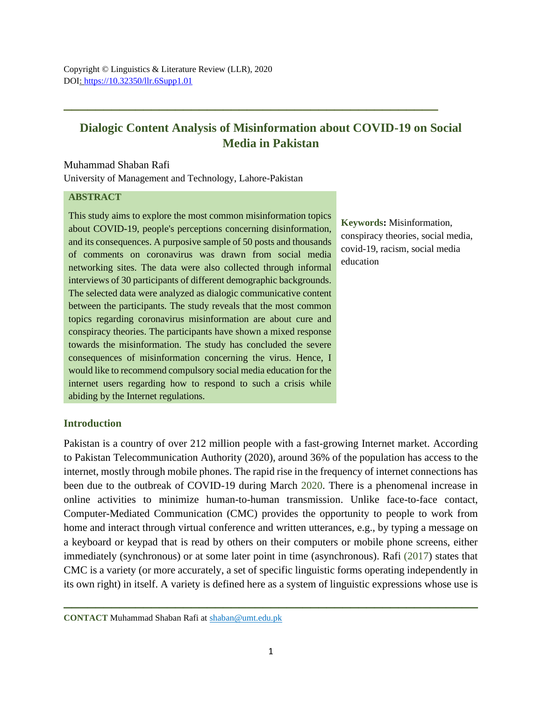# **Dialogic Content Analysis of Misinformation about COVID-19 on Social Media in Pakistan**

**\_\_\_\_\_\_\_\_\_\_\_\_\_\_\_\_\_\_\_\_\_\_\_\_\_\_\_\_\_\_\_\_\_\_\_\_\_\_\_\_\_\_\_\_\_\_\_**

Muhammad Shaban Rafi University of Management and Technology, Lahore-Pakistan

#### **ABSTRACT**

This study aims to explore the most common misinformation topics about COVID-19, people's perceptions concerning disinformation, and its consequences. A purposive sample of 50 posts and thousands of comments on coronavirus was drawn from social media networking sites. The data were also collected through informal interviews of 30 participants of different demographic backgrounds. The selected data were analyzed as dialogic communicative content between the participants. The study reveals that the most common topics regarding coronavirus misinformation are about cure and conspiracy theories. The participants have shown a mixed response towards the misinformation. The study has concluded the severe consequences of misinformation concerning the virus. Hence, I would like to recommend compulsory social media education for the internet users regarding how to respond to such a crisis while abiding by the Internet regulations.

**Keywords:** Misinformation, conspiracy theories, social media, covid-19, racism, social media education

### **Introduction**

Pakistan is a country of over 212 million people with a fast-growing Internet market. According to Pakistan Telecommunication Authority (2020), around 36% of the population has access to the internet, mostly through mobile phones. The rapid rise in the frequency of internet connections has been due to the outbreak of COVID-19 during March 2020. There is a phenomenal increase in online activities to minimize human-to-human transmission. Unlike face-to-face contact, Computer-Mediated Communication (CMC) provides the opportunity to people to work from home and interact through virtual conference and written utterances, e.g., by typing a message on a keyboard or keypad that is read by others on their computers or mobile phone screens, either immediately (synchronous) or at some later point in time (asynchronous). Rafi (2017) states that CMC is a variety (or more accurately, a set of specific linguistic forms operating independently in its own right) in itself. A variety is defined here as a system of linguistic expressions whose use is

**\_\_\_\_\_\_\_\_\_\_\_\_\_\_\_\_\_\_\_\_\_\_\_\_\_\_\_\_\_\_\_\_\_\_\_\_\_\_\_\_\_\_\_\_\_\_\_\_\_\_\_\_**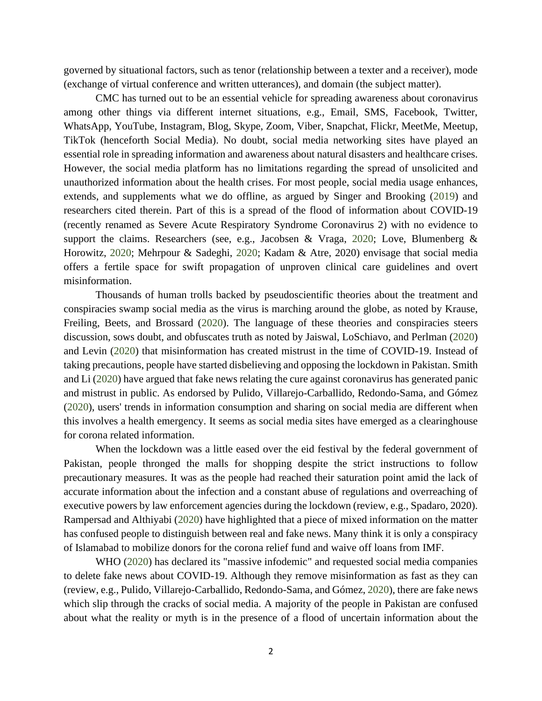governed by situational factors, such as tenor (relationship between a texter and a receiver), mode (exchange of virtual conference and written utterances), and domain (the subject matter).

CMC has turned out to be an essential vehicle for spreading awareness about coronavirus among other things via different internet situations, e.g., Email, SMS, Facebook, Twitter, WhatsApp, YouTube, Instagram, Blog, Skype, Zoom, Viber, Snapchat, Flickr, MeetMe, Meetup, TikTok (henceforth Social Media). No doubt, social media networking sites have played an essential role in spreading information and awareness about natural disasters and healthcare crises. However, the social media platform has no limitations regarding the spread of unsolicited and unauthorized information about the health crises. For most people, social media usage enhances, extends, and supplements what we do offline, as argued by Singer and Brooking (2019) and researchers cited therein. Part of this is a spread of the flood of information about COVID-19 (recently renamed as Severe Acute Respiratory Syndrome Coronavirus 2) with no evidence to support the claims. Researchers (see, e.g., Jacobsen & Vraga, 2020; Love, Blumenberg & Horowitz, 2020; Mehrpour & Sadeghi, 2020; Kadam & Atre, 2020) envisage that social media offers a fertile space for swift propagation of unproven clinical care guidelines and overt misinformation.

Thousands of human trolls backed by pseudoscientific theories about the treatment and conspiracies swamp social media as the virus is marching around the globe, as noted by Krause, Freiling, Beets, and Brossard (2020). The language of these theories and conspiracies steers discussion, sows doubt, and obfuscates truth as noted by Jaiswal, LoSchiavo, and Perlman (2020) and Levin (2020) that misinformation has created mistrust in the time of COVID-19. Instead of taking precautions, people have started disbelieving and opposing the lockdown in Pakistan. Smith and Li (2020) have argued that fake news relating the cure against coronavirus has generated panic and mistrust in public. As endorsed by Pulido, Villarejo-Carballido, Redondo-Sama, and Gómez (2020), users' trends in information consumption and sharing on social media are different when this involves a health emergency. It seems as social media sites have emerged as a clearinghouse for corona related information.

When the lockdown was a little eased over the eid festival by the federal government of Pakistan, people thronged the malls for shopping despite the strict instructions to follow precautionary measures. It was as the people had reached their saturation point amid the lack of accurate information about the infection and a constant abuse of regulations and overreaching of executive powers by law enforcement agencies during the lockdown (review, e.g., Spadaro, 2020). Rampersad and Althiyabi (2020) have highlighted that a piece of mixed information on the matter has confused people to distinguish between real and fake news. Many think it is only a conspiracy of Islamabad to mobilize donors for the corona relief fund and waive off loans from IMF.

WHO (2020) has declared its "massive infodemic" and requested social media companies to delete fake news about COVID-19. Although they remove misinformation as fast as they can (review, e.g., Pulido, Villarejo-Carballido, Redondo-Sama, and Gómez, 2020), there are fake news which slip through the cracks of social media. A majority of the people in Pakistan are confused about what the reality or myth is in the presence of a flood of uncertain information about the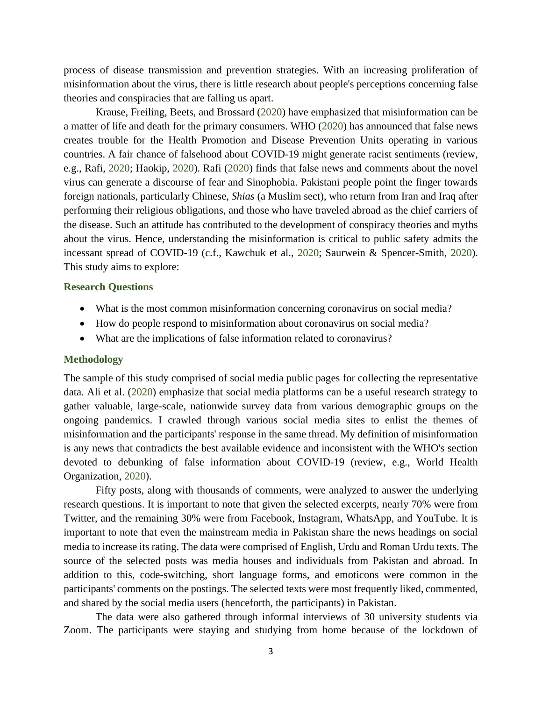process of disease transmission and prevention strategies. With an increasing proliferation of misinformation about the virus, there is little research about people's perceptions concerning false theories and conspiracies that are falling us apart.

Krause, Freiling, Beets, and Brossard (2020) have emphasized that misinformation can be a matter of life and death for the primary consumers. WHO (2020) has announced that false news creates trouble for the Health Promotion and Disease Prevention Units operating in various countries. A fair chance of falsehood about COVID-19 might generate racist sentiments (review, e.g., Rafi, 2020; Haokip, 2020). Rafi (2020) finds that false news and comments about the novel virus can generate a discourse of fear and Sinophobia. Pakistani people point the finger towards foreign nationals, particularly Chinese, *Shias* (a Muslim sect), who return from Iran and Iraq after performing their religious obligations, and those who have traveled abroad as the chief carriers of the disease. Such an attitude has contributed to the development of conspiracy theories and myths about the virus. Hence, understanding the misinformation is critical to public safety admits the incessant spread of COVID-19 (c.f., Kawchuk et al., 2020; Saurwein & Spencer-Smith, 2020). This study aims to explore:

#### **Research Questions**

- What is the most common misinformation concerning coronavirus on social media?
- How do people respond to misinformation about coronavirus on social media?
- What are the implications of false information related to coronavirus?

#### **Methodology**

The sample of this study comprised of social media public pages for collecting the representative data. Ali et al. (2020) emphasize that social media platforms can be a useful research strategy to gather valuable, large-scale, nationwide survey data from various demographic groups on the ongoing pandemics. I crawled through various social media sites to enlist the themes of misinformation and the participants' response in the same thread. My definition of misinformation is any news that contradicts the best available evidence and inconsistent with the WHO's section devoted to debunking of false information about COVID-19 (review, e.g., World Health Organization, 2020).

Fifty posts, along with thousands of comments, were analyzed to answer the underlying research questions. It is important to note that given the selected excerpts, nearly 70% were from Twitter, and the remaining 30% were from Facebook, Instagram, WhatsApp, and YouTube. It is important to note that even the mainstream media in Pakistan share the news headings on social media to increase its rating. The data were comprised of English, Urdu and Roman Urdu texts. The source of the selected posts was media houses and individuals from Pakistan and abroad. In addition to this, code-switching, short language forms, and emoticons were common in the participants' comments on the postings. The selected texts were most frequently liked, commented, and shared by the social media users (henceforth, the participants) in Pakistan.

The data were also gathered through informal interviews of 30 university students via Zoom. The participants were staying and studying from home because of the lockdown of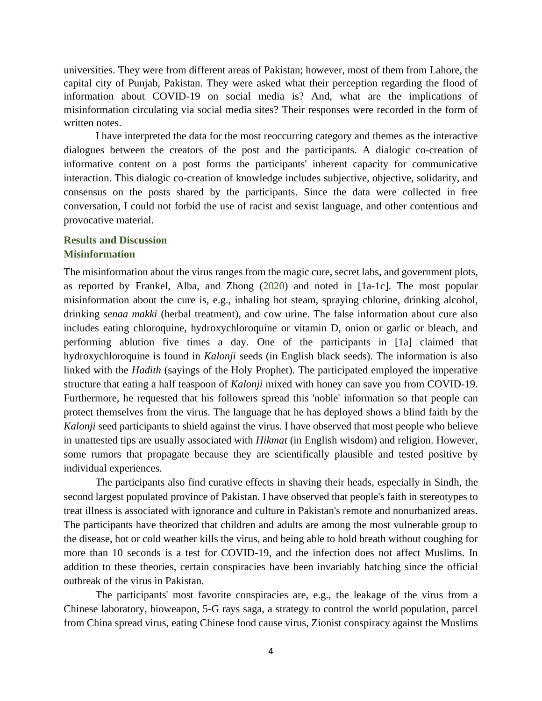universities. They were from different areas of Pakistan; however, most of them from Lahore, the capital city of Punjab, Pakistan. They were asked what their perception regarding the flood of information about COVID-19 on social media is? And, what are the implications of misinformation circulating via social media sites? Their responses were recorded in the form of written notes.

I have interpreted the data for the most reoccurring category and themes as the interactive dialogues between the creators of the post and the participants. A dialogic co-creation of informative content on a post forms the participants' inherent capacity for communicative interaction. This dialogic co-creation of knowledge includes subjective, objective, solidarity, and consensus on the posts shared by the participants. Since the data were collected in free conversation, I could not forbid the use of racist and sexist language, and other contentious and provocative material.

### **Results and Discussion Misinformation**

The misinformation about the virus ranges from the magic cure, secret labs, and government plots, as reported by Frankel, Alba, and Zhong (2020) and noted in [1a-1c]. The most popular misinformation about the cure is, e.g., inhaling hot steam, spraying chlorine, drinking alcohol, drinking *senaa makki* (herbal treatment), and cow urine. The false information about cure also includes eating chloroquine, hydroxychloroquine or vitamin D, onion or garlic or bleach, and performing ablution five times a day. One of the participants in [1a] claimed that hydroxychloroquine is found in *Kalonji* seeds (in English black seeds). The information is also linked with the *Hadith* (sayings of the Holy Prophet). The participated employed the imperative structure that eating a half teaspoon of *Kalonji* mixed with honey can save you from COVID-19. Furthermore, he requested that his followers spread this 'noble' information so that people can protect themselves from the virus. The language that he has deployed shows a blind faith by the *Kalonji* seed participants to shield against the virus. I have observed that most people who believe in unattested tips are usually associated with *Hikmat* (in English wisdom) and religion. However, some rumors that propagate because they are scientifically plausible and tested positive by individual experiences.

The participants also find curative effects in shaving their heads, especially in Sindh, the second largest populated province of Pakistan. I have observed that people's faith in stereotypes to treat illness is associated with ignorance and culture in Pakistan's remote and nonurbanized areas. The participants have theorized that children and adults are among the most vulnerable group to the disease, hot or cold weather kills the virus, and being able to hold breath without coughing for more than 10 seconds is a test for COVID-19, and the infection does not affect Muslims. In addition to these theories, certain conspiracies have been invariably hatching since the official outbreak of the virus in Pakistan.

The participants' most favorite conspiracies are, e.g., the leakage of the virus from a Chinese laboratory, bioweapon, 5-G rays saga, a strategy to control the world population, parcel from China spread virus, eating Chinese food cause virus, Zionist conspiracy against the Muslims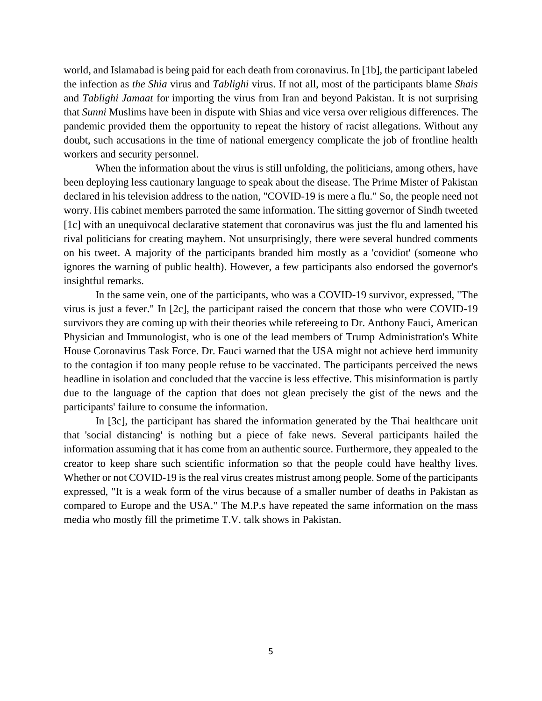world, and Islamabad is being paid for each death from coronavirus. In [1b], the participant labeled the infection as *the Shia* virus and *Tablighi* virus. If not all, most of the participants blame *Shais* and *Tablighi Jamaat* for importing the virus from Iran and beyond Pakistan. It is not surprising that *Sunni* Muslims have been in dispute with Shias and vice versa over religious differences. The pandemic provided them the opportunity to repeat the history of racist allegations. Without any doubt, such accusations in the time of national emergency complicate the job of frontline health workers and security personnel.

When the information about the virus is still unfolding, the politicians, among others, have been deploying less cautionary language to speak about the disease. The Prime Mister of Pakistan declared in his television address to the nation, "COVID-19 is mere a flu." So, the people need not worry. His cabinet members parroted the same information. The sitting governor of Sindh tweeted [1c] with an unequivocal declarative statement that coronavirus was just the flu and lamented his rival politicians for creating mayhem. Not unsurprisingly, there were several hundred comments on his tweet. A majority of the participants branded him mostly as a 'covidiot' (someone who ignores the warning of public health). However, a few participants also endorsed the governor's insightful remarks.

In the same vein, one of the participants, who was a COVID-19 survivor, expressed, "The virus is just a fever." In [2c], the participant raised the concern that those who were COVID-19 survivors they are coming up with their theories while refereeing to Dr. Anthony Fauci, American Physician and Immunologist, who is one of the lead members of Trump Administration's White House Coronavirus Task Force. Dr. Fauci warned that the USA might not achieve herd immunity to the contagion if too many people refuse to be vaccinated. The participants perceived the news headline in isolation and concluded that the vaccine is less effective. This misinformation is partly due to the language of the caption that does not glean precisely the gist of the news and the participants' failure to consume the information.

In [3c], the participant has shared the information generated by the Thai healthcare unit that 'social distancing' is nothing but a piece of fake news. Several participants hailed the information assuming that it has come from an authentic source. Furthermore, they appealed to the creator to keep share such scientific information so that the people could have healthy lives. Whether or not COVID-19 is the real virus creates mistrust among people. Some of the participants expressed, "It is a weak form of the virus because of a smaller number of deaths in Pakistan as compared to Europe and the USA." The M.P.s have repeated the same information on the mass media who mostly fill the primetime T.V. talk shows in Pakistan.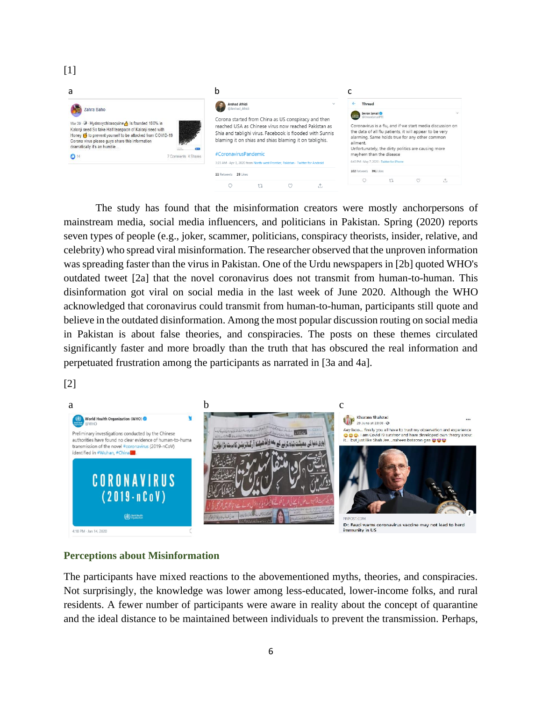| a                                                                                                                                                                                                                                                                                                      |  | b                                                                                                                                                                                                                                                                           |  |  |                                                                                                                                                                                                                                                                                          |                                                                      |  |  |  |
|--------------------------------------------------------------------------------------------------------------------------------------------------------------------------------------------------------------------------------------------------------------------------------------------------------|--|-----------------------------------------------------------------------------------------------------------------------------------------------------------------------------------------------------------------------------------------------------------------------------|--|--|------------------------------------------------------------------------------------------------------------------------------------------------------------------------------------------------------------------------------------------------------------------------------------------|----------------------------------------------------------------------|--|--|--|
| Zahra Baho<br>Mar 29 $\cdot$ $\cdot$ Hydroxychloroquine $\cdot$ is founded 100% in<br>Kalonii seed So take Half teaspoon of Kalonii seed with<br>Honey <sup>1</sup> to prevent yourself to be attacked from COVID-19<br>Corona virus please guys share this information<br>dramatically it's an humble |  | <b>Arshad Afridi</b><br>@Arshad_Afridi<br>Corona started from China as US conspiracy and then<br>reached USA as Chinese virus now reached Pakistan as<br>Shia and tablighi virus. Facebook is flooded with Sunnis<br>blaming it on shias and shias blaming it on tablighis. |  |  | <b>Thread</b>                                                                                                                                                                                                                                                                            |                                                                      |  |  |  |
|                                                                                                                                                                                                                                                                                                        |  |                                                                                                                                                                                                                                                                             |  |  | Imran Ismail <sup>®</sup><br>@ImranismailPTI<br>Coronavirus is a flu, and if we start media discussion on<br>the data of all flu patients, it will appear to be very<br>alarming. Same holds true for any other common<br>ailment.<br>Unfortunately, the dirty politics are causing more |                                                                      |  |  |  |
| 14<br>7 Comments 4 Shares                                                                                                                                                                                                                                                                              |  | #CoronavirusPandemic                                                                                                                                                                                                                                                        |  |  | mayhem than the disease                                                                                                                                                                                                                                                                  |                                                                      |  |  |  |
|                                                                                                                                                                                                                                                                                                        |  | 3:23 AM - Apr 3, 2020 from North-west Frontier, Pakistan - Twitter for Android                                                                                                                                                                                              |  |  |                                                                                                                                                                                                                                                                                          | 6:43 PM - May 7, 2020 - Twitter for iPhone<br>102 Retweets 391 Likes |  |  |  |
| 11 Retweets 28 Likes                                                                                                                                                                                                                                                                                   |  |                                                                                                                                                                                                                                                                             |  |  |                                                                                                                                                                                                                                                                                          |                                                                      |  |  |  |
|                                                                                                                                                                                                                                                                                                        |  |                                                                                                                                                                                                                                                                             |  |  |                                                                                                                                                                                                                                                                                          |                                                                      |  |  |  |

The study has found that the misinformation creators were mostly anchorpersons of mainstream media, social media influencers, and politicians in Pakistan. Spring (2020) reports seven types of people (e.g., joker, scammer, politicians, conspiracy theorists, insider, relative, and celebrity) who spread viral misinformation. The researcher observed that the unproven information was spreading faster than the virus in Pakistan. One of the Urdu newspapers in [2b] quoted WHO's outdated tweet [2a] that the novel coronavirus does not transmit from human-to-human. This disinformation got viral on social media in the last week of June 2020. Although the WHO acknowledged that coronavirus could transmit from human-to-human, participants still quote and believe in the outdated disinformation. Among the most popular discussion routing on social media in Pakistan is about false theories, and conspiracies. The posts on these themes circulated significantly faster and more broadly than the truth that has obscured the real information and perpetuated frustration among the participants as narrated in [3a and 4a].



 $[1]$ 



### **Perceptions about Misinformation**

The participants have mixed reactions to the abovementioned myths, theories, and conspiracies. Not surprisingly, the knowledge was lower among less-educated, lower-income folks, and rural residents. A fewer number of participants were aware in reality about the concept of quarantine and the ideal distance to be maintained between individuals to prevent the transmission. Perhaps,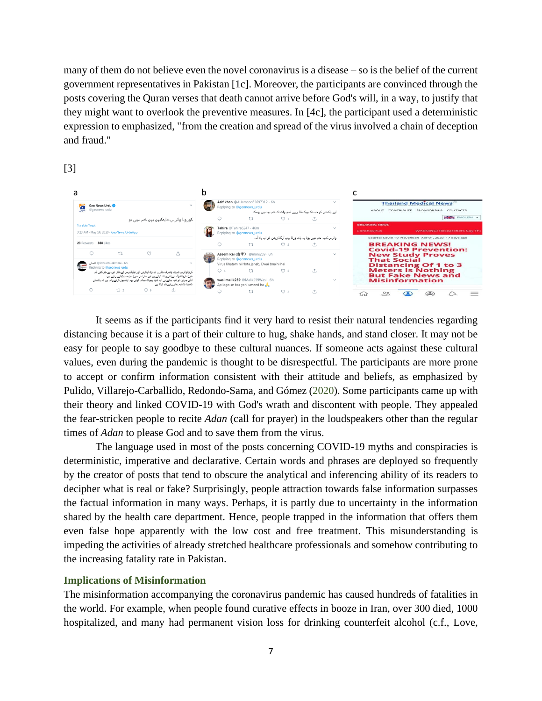many of them do not believe even the novel coronavirus is a disease – so is the belief of the current government representatives in Pakistan [1c]. Moreover, the participants are convinced through the posts covering the Quran verses that death cannot arrive before God's will, in a way, to justify that they might want to overlook the preventive measures. In [4c], the participant used a deterministic expression to emphasized, "from the creation and spread of the virus involved a chain of deception and fraud."

[3]

| a                                                                                                                                                                                        |                                                                                                                                                  |                                                                                     |  |  |  |
|------------------------------------------------------------------------------------------------------------------------------------------------------------------------------------------|--------------------------------------------------------------------------------------------------------------------------------------------------|-------------------------------------------------------------------------------------|--|--|--|
| Geo News Urdu<br>@geonews_urdu<br><b>Service</b>                                                                                                                                         | Asif khan @AHameed63697312 . 6h<br>$\checkmark$<br>Replying to @geonews_urdu<br>اور پاکستان کو جب تک بھیک ملتا رہے اسی وقت تک ختم ہی نہیں ہوسکتا | <b>Thailand Medical News</b><br>CONTRIBUTE SPONSORSHIP<br><b>CONTACTS</b>           |  |  |  |
| کورونا وائرس شایدکبهی بهی ختم نبیی بو                                                                                                                                                    | $\mathbb{U}$<br>$\mathcal{O}$ 1<br>۰Л.                                                                                                           | ENGLISH -                                                                           |  |  |  |
| <b>Translate Tweet</b><br>3:23 AM - May 14, 2020 - GeoNews_UrduApp                                                                                                                       | Tahira @Tahira6247 . 46m<br>Replying to @geonews_urdu                                                                                            | <b>BREAKING NEWS</b><br><b>WARNINGI Researchers Say Tha</b><br>Coronavirus          |  |  |  |
|                                                                                                                                                                                          | واثر س کبهی ختم نمیں بوتا یہ بات ور لڈ بیلتھ آر گنائز بشن کو اب باد آئی                                                                          | Source: Covid-19 Prevention Apr 01, 2020 17 days ago                                |  |  |  |
| 23 Retweets 388 Likes                                                                                                                                                                    | $\mathbb{U}$<br>$\omega$<br>$\uparrow$                                                                                                           | <b>BREAKING NEWS!</b>                                                               |  |  |  |
| tū<br>$\infty$<br>.n<br>®ProudbPakistani - 6h اتسان<br>$\checkmark$                                                                                                                      | Azeem Rai (吉米) @mani259 · 6h<br>$\sim$<br>Replying to @geonews_urdu<br>Virus Khatam ni Hota janab, Dwai bna'ni hai                               | <b>Covid-19 Prevention:</b><br><b>New Study Proves</b><br><b>That Social</b>        |  |  |  |
| Replying to @geonews_urdu<br>کروناوائرس صرف وصرف بمارے ٹر وٹ اینکروں اور میڈیاباوسز کے دفاتر میں سےجو کٹوں کر<br>طرح کروناخوف کےنعرےبلند کرتےہیں اور سارا دن سرخ سیاہم دیکھانے رہتے ہیں۔ | O <sub>2</sub><br>$\Lambda$<br>$\uparrow$<br>O <sub>1</sub>                                                                                      | <b>Distancing Of 1 to 3</b><br><b>Meters Is Nothing</b><br><b>But Fake News and</b> |  |  |  |
| انڈین جرنیل تو کیہ چکےاور اب شاید پیودی دجالہ قوتیں بھی ایکسپوز کرنےوالی ہیں کہ پاکستان<br>کامیڈیا بلاشیہ ہمارےاسےکام کرتا سے                                                            | wasi malik259 @Malik259Wasi · 6h<br>Ap logo se bas yahi umeed ha                                                                                 | <b>Misinformation</b>                                                               |  |  |  |
| 17.2<br>O <sub>6</sub><br>$\Lambda$                                                                                                                                                      | $\infty$<br>$\Lambda$<br>17.                                                                                                                     | $\overline{\circ}$<br>íн                                                            |  |  |  |

It seems as if the participants find it very hard to resist their natural tendencies regarding distancing because it is a part of their culture to hug, shake hands, and stand closer. It may not be easy for people to say goodbye to these cultural nuances. If someone acts against these cultural values, even during the pandemic is thought to be disrespectful. The participants are more prone to accept or confirm information consistent with their attitude and beliefs, as emphasized by Pulido, Villarejo-Carballido, Redondo-Sama, and Gómez (2020). Some participants came up with their theory and linked COVID-19 with God's wrath and discontent with people. They appealed the fear-stricken people to recite *Adan* (call for prayer) in the loudspeakers other than the regular times of *Adan* to please God and to save them from the virus.

The language used in most of the posts concerning COVID-19 myths and conspiracies is deterministic, imperative and declarative. Certain words and phrases are deployed so frequently by the creator of posts that tend to obscure the analytical and inferencing ability of its readers to decipher what is real or fake? Surprisingly, people attraction towards false information surpasses the factual information in many ways. Perhaps, it is partly due to uncertainty in the information shared by the health care department. Hence, people trapped in the information that offers them even false hope apparently with the low cost and free treatment. This misunderstanding is impeding the activities of already stretched healthcare professionals and somehow contributing to the increasing fatality rate in Pakistan.

## **Implications of Misinformation**

The misinformation accompanying the coronavirus pandemic has caused hundreds of fatalities in the world. For example, when people found curative effects in booze in Iran, over 300 died, 1000 hospitalized, and many had permanent vision loss for drinking counterfeit alcohol (c.f., Love,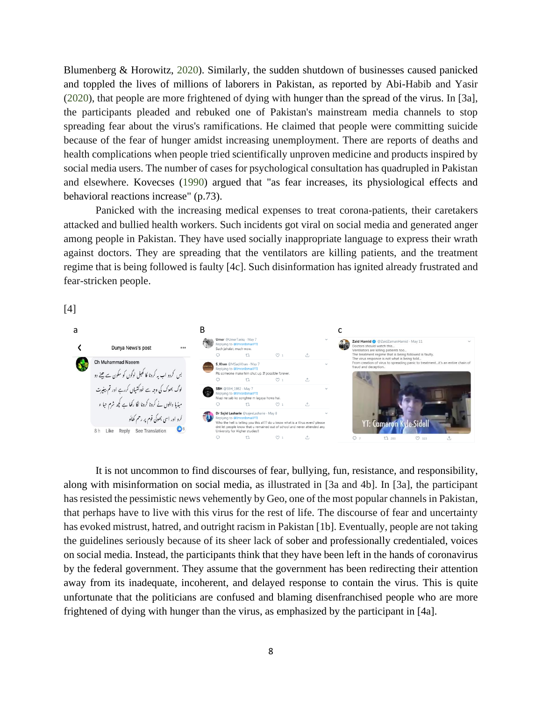Blumenberg & Horowitz, 2020). Similarly, the sudden shutdown of businesses caused panicked and toppled the lives of millions of laborers in Pakistan, as reported by Abi-Habib and Yasir (2020), that people are more frightened of dying with hunger than the spread of the virus. In [3a], the participants pleaded and rebuked one of Pakistan's mainstream media channels to stop spreading fear about the virus's ramifications. He claimed that people were committing suicide because of the fear of hunger amidst increasing unemployment. There are reports of deaths and health complications when people tried scientifically unproven medicine and products inspired by social media users. The number of cases for psychological consultation has quadrupled in Pakistan and elsewhere. Kovecses (1990) argued that "as fear increases, its physiological effects and behavioral reactions increase" (p.73).

Panicked with the increasing medical expenses to treat corona-patients, their caretakers attacked and bullied health workers. Such incidents got viral on social media and generated anger among people in Pakistan. They have used socially inappropriate language to express their wrath against doctors. They are spreading that the ventilators are killing patients, and the treatment regime that is being followed is faulty [4c]. Such disinformation has ignited already frustrated and fear-stricken people.

[4]



It is not uncommon to find discourses of fear, bullying, fun, resistance, and responsibility, along with misinformation on social media, as illustrated in [3a and 4b]. In [3a], the participant has resisted the pessimistic news vehemently by Geo, one of the most popular channels in Pakistan, that perhaps have to live with this virus for the rest of life. The discourse of fear and uncertainty has evoked mistrust, hatred, and outright racism in Pakistan [1b]. Eventually, people are not taking the guidelines seriously because of its sheer lack of sober and professionally credentialed, voices on social media. Instead, the participants think that they have been left in the hands of coronavirus by the federal government. They assume that the government has been redirecting their attention away from its inadequate, incoherent, and delayed response to contain the virus. This is quite unfortunate that the politicians are confused and blaming disenfranchised people who are more frightened of dying with hunger than the virus, as emphasized by the participant in [4a].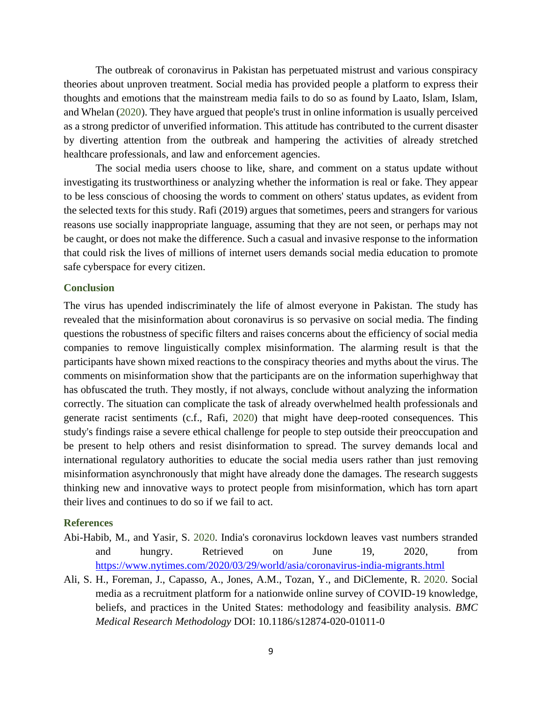The outbreak of coronavirus in Pakistan has perpetuated mistrust and various conspiracy theories about unproven treatment. Social media has provided people a platform to express their thoughts and emotions that the mainstream media fails to do so as found by Laato, Islam, Islam, and Whelan (2020). They have argued that people's trust in online information is usually perceived as a strong predictor of unverified information. This attitude has contributed to the current disaster by diverting attention from the outbreak and hampering the activities of already stretched healthcare professionals, and law and enforcement agencies.

The social media users choose to like, share, and comment on a status update without investigating its trustworthiness or analyzing whether the information is real or fake. They appear to be less conscious of choosing the words to comment on others' status updates, as evident from the selected texts for this study. Rafi (2019) argues that sometimes, peers and strangers for various reasons use socially inappropriate language, assuming that they are not seen, or perhaps may not be caught, or does not make the difference. Such a casual and invasive response to the information that could risk the lives of millions of internet users demands social media education to promote safe cyberspace for every citizen.

#### **Conclusion**

The virus has upended indiscriminately the life of almost everyone in Pakistan. The study has revealed that the misinformation about coronavirus is so pervasive on social media. The finding questions the robustness of specific filters and raises concerns about the efficiency of social media companies to remove linguistically complex misinformation. The alarming result is that the participants have shown mixed reactions to the conspiracy theories and myths about the virus. The comments on misinformation show that the participants are on the information superhighway that has obfuscated the truth. They mostly, if not always, conclude without analyzing the information correctly. The situation can complicate the task of already overwhelmed health professionals and generate racist sentiments (c.f., Rafi, 2020) that might have deep-rooted consequences. This study's findings raise a severe ethical challenge for people to step outside their preoccupation and be present to help others and resist disinformation to spread. The survey demands local and international regulatory authorities to educate the social media users rather than just removing misinformation asynchronously that might have already done the damages. The research suggests thinking new and innovative ways to protect people from misinformation, which has torn apart their lives and continues to do so if we fail to act.

#### **References**

- [Abi-Habib,](https://www.nytimes.com/by/maria-abi-habib) M., and [Yasir,](https://www.nytimes.com/by/sameer-yasir) S. 2020. India's coronavirus lockdown leaves vast numbers stranded and hungry. Retrieved on June 19, 2020, from <https://www.nytimes.com/2020/03/29/world/asia/coronavirus-india-migrants.html>
- Ali, S. H., Foreman, J., Capasso, A., Jones, A.M., Tozan, Y., and DiClemente, R. 2020. Social media as a recruitment platform for a nationwide online survey of COVID-19 knowledge, beliefs, and practices in the United States: methodology and feasibility analysis. *BMC Medical Research Methodology* DOI: 10.1186/s12874-020-01011-0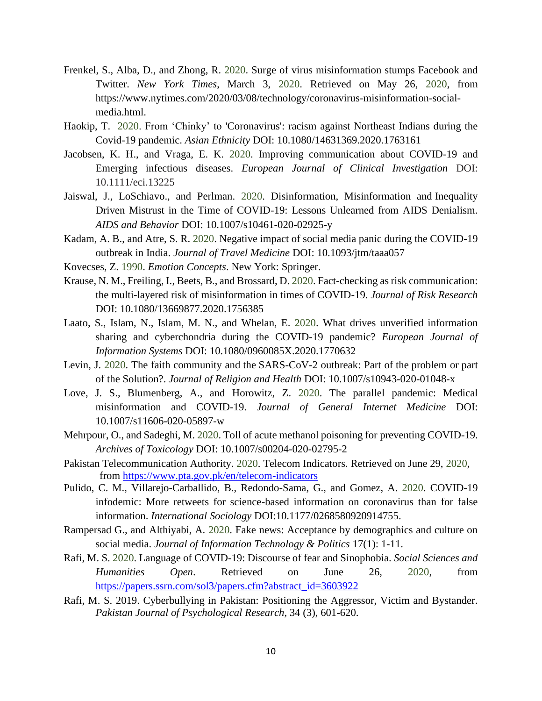- Frenkel, S., Alba, D., and Zhong, R. 2020. Surge of virus misinformation stumps Facebook and Twitter. *New York Times*, March 3, 2020. Retrieved on May 26, 2020, from https://www.nytimes.com/2020/03/08/technology/coronavirus-misinformation-socialmedia.html.
- Haokip, T. 2020. From 'Chinky' to 'Coronavirus': racism against Northeast Indians during the Covid-19 pandemic. *Asian Ethnicity* DOI: 10.1080/14631369.2020.1763161
- Jacobsen, K. H., and Vraga, E. K. 2020. Improving communication about COVID-19 and Emerging infectious diseases. *European Journal of Clinical Investigation* DOI: 10.1111/eci.13225
- Jaiswal, J., LoSchiavo., and Perlman. 2020. Disinformation, Misinformation and Inequality Driven Mistrust in the Time of COVID-19: Lessons Unlearned from AIDS Denialism. *AIDS and Behavior* DOI: 10.1007/s10461-020-02925-y
- Kadam, A. B., and Atre, S. R. 2020. Negative impact of social media panic during the COVID-19 outbreak in India. *Journal of Travel Medicine* DOI: 10.1093/jtm/taaa057
- Kovecses, Z. 1990. *Emotion Concepts*. New York: Springer.
- Krause, N. M., Freiling, I., Beets, B., and Brossard, D. 2020. Fact-checking as risk communication: the multi-layered risk of misinformation in times of COVID-19. *Journal of Risk Research* DOI: 10.1080/13669877.2020.1756385
- Laato, S., Islam, N., Islam, M. N., and Whelan, E. 2020. What drives unverified information sharing and cyberchondria during the COVID-19 pandemic? *European Journal of Information Systems* DOI: 10.1080/0960085X.2020.1770632
- Levin, J. 2020. The faith community and the SARS-CoV-2 outbreak: Part of the problem or part of the Solution?. *Journal of Religion and Health* DOI: 10.1007/s10943-020-01048-x
- Love, J. S., Blumenberg, A., and Horowitz, Z. 2020. The parallel pandemic: Medical misinformation and COVID-19. *Journal of General Internet Medicine* DOI: 10.1007/s11606-020-05897-w
- Mehrpour, O., and Sadeghi, M. 2020. Toll of acute methanol poisoning for preventing COVID-19. *Archives of Toxicology* DOI: 10.1007/s00204-020-02795-2
- Pakistan Telecommunication Authority. 2020. Telecom Indicators. Retrieved on June 29, 2020, from<https://www.pta.gov.pk/en/telecom-indicators>
- Pulido, C. M., Villarejo-Carballido, B., Redondo-Sama, G., and Gomez, A. 2020. COVID-19 infodemic: More retweets for science-based information on coronavirus than for false information. *International Sociology* DOI:10.1177/0268580920914755.
- Rampersad G., and Althiyabi, A. 2020. Fake news: Acceptance by demographics and culture on social media. *Journal of Information Technology & Politics* 17(1): 1-11.
- Rafi, M. S. 2020. Language of COVID-19: Discourse of fear and Sinophobia. *Social Sciences and Humanities Open*. Retrieved on June 26, 2020, from [https://papers.ssrn.com/sol3/papers.cfm?abstract\\_id=3603922](https://papers.ssrn.com/sol3/papers.cfm?abstract_id=3603922)
- Rafi, M. S. 2019. Cyberbullying in Pakistan: Positioning the Aggressor, Victim and Bystander. *Pakistan Journal of Psychological Research*, 34 (3), 601-620.